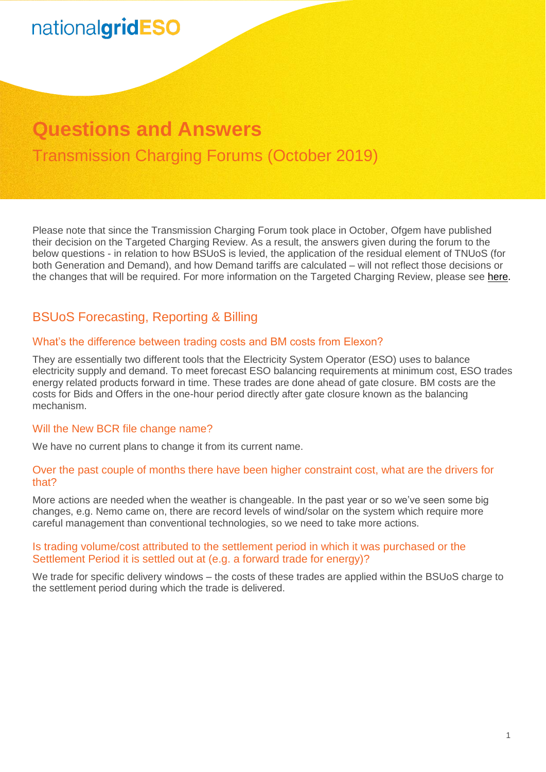# **Questions and Answers** Transmission Charging Forums (October 2019)

Please note that since the Transmission Charging Forum took place in October, Ofgem have published their decision on the Targeted Charging Review. As a result, the answers given during the forum to the below questions - in relation to how BSUoS is levied, the application of the residual element of TNUoS (for both Generation and Demand), and how Demand tariffs are calculated – will not reflect those decisions or the changes that will be required. For more information on the Targeted Charging Review, please see [here.](https://www.ofgem.gov.uk/publications-and-updates/targeted-charging-review-decision-and-impact-assessment)

# BSUoS Forecasting, Reporting & Billing

## What's the difference between trading costs and BM costs from Elexon?

They are essentially two different tools that the Electricity System Operator (ESO) uses to balance electricity supply and demand. To meet forecast ESO balancing requirements at minimum cost, ESO trades energy related products forward in time. These trades are done ahead of gate closure. BM costs are the costs for Bids and Offers in the one-hour period directly after gate closure known as the balancing mechanism.

#### Will the New BCR file change name?

We have no current plans to change it from its current name.

#### Over the past couple of months there have been higher constraint cost, what are the drivers for that?

More actions are needed when the weather is changeable. In the past year or so we've seen some big changes, e.g. Nemo came on, there are record levels of wind/solar on the system which require more careful management than conventional technologies, so we need to take more actions.

#### Is trading volume/cost attributed to the settlement period in which it was purchased or the Settlement Period it is settled out at (e.g. a forward trade for energy)?

We trade for specific delivery windows – the costs of these trades are applied within the BSUoS charge to the settlement period during which the trade is delivered.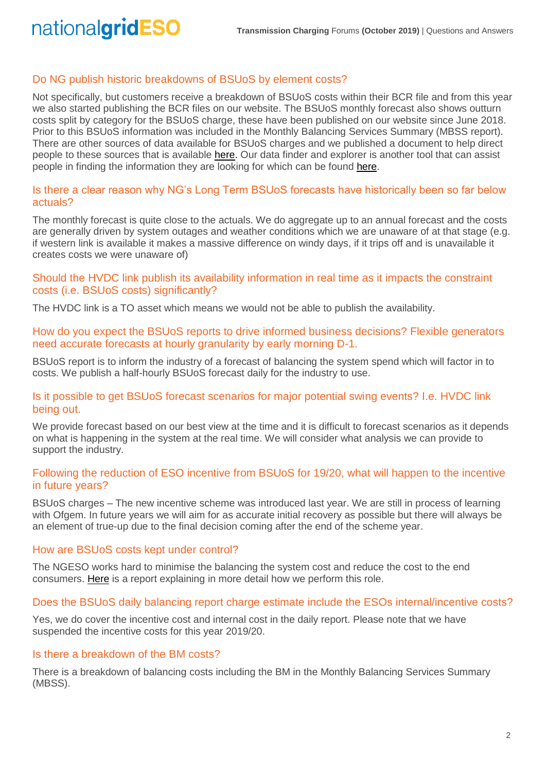# Do NG publish historic breakdowns of BSUoS by element costs?

Not specifically, but customers receive a breakdown of BSUoS costs within their BCR file and from this year we also started publishing the BCR files on our website. The BSUoS monthly forecast also shows outturn costs split by category for the BSUoS charge, these have been published on our website since June 2018. Prior to this BSUoS information was included in the Monthly Balancing Services Summary (MBSS report). There are other sources of data available for BSUoS charges and we published a document to help direct people to these sources that is available [here.](https://www.nationalgrideso.com/document/149306/download) Our data finder and explorer is another tool that can assist people in finding the information they are looking for which can be found [here.](https://www.nationalgrideso.com/balancing-data/data-finder-and-explorer)

## Is there a clear reason why NG's Long Term BSUoS forecasts have historically been so far below actuals?

The monthly forecast is quite close to the actuals. We do aggregate up to an annual forecast and the costs are generally driven by system outages and weather conditions which we are unaware of at that stage (e.g. if western link is available it makes a massive difference on windy days, if it trips off and is unavailable it creates costs we were unaware of)

## Should the HVDC link publish its availability information in real time as it impacts the constraint costs (i.e. BSUoS costs) significantly?

The HVDC link is a TO asset which means we would not be able to publish the availability.

## How do you expect the BSUoS reports to drive informed business decisions? Flexible generators need accurate forecasts at hourly granularity by early morning D-1.

BSUoS report is to inform the industry of a forecast of balancing the system spend which will factor in to costs. We publish a half-hourly BSUoS forecast daily for the industry to use.

## Is it possible to get BSUoS forecast scenarios for major potential swing events? I.e. HVDC link being out.

We provide forecast based on our best view at the time and it is difficult to forecast scenarios as it depends on what is happening in the system at the real time. We will consider what analysis we can provide to support the industry.

# Following the reduction of ESO incentive from BSUoS for 19/20, what will happen to the incentive in future years?

BSUoS charges – The new incentive scheme was introduced last year. We are still in process of learning with Ofgem. In future years we will aim for as accurate initial recovery as possible but there will always be an element of true-up due to the final decision coming after the end of the scheme year.

# How are BSUoS costs kept under control?

The NGESO works hard to minimise the balancing the system cost and reduce the cost to the end consumers. [Here](https://www.nationalgrideso.com/about-us/business-planning-riio/how-were-performing) is a report explaining in more detail how we perform this role.

# Does the BSUoS daily balancing report charge estimate include the ESOs internal/incentive costs?

Yes, we do cover the incentive cost and internal cost in the daily report. Please note that we have suspended the incentive costs for this year 2019/20.

# Is there a breakdown of the BM costs?

There is a breakdown of balancing costs including the BM in the Monthly Balancing Services Summary (MBSS).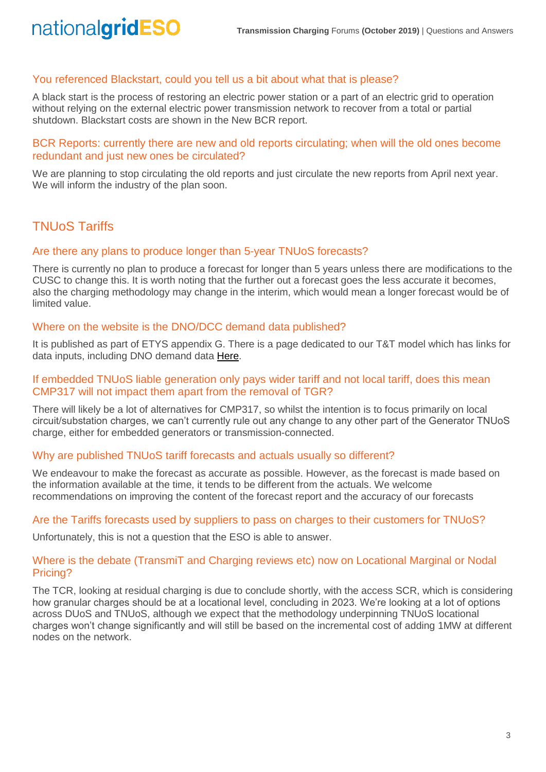## You referenced Blackstart, could you tell us a bit about what that is please?

A black start is the process of restoring an electric power station or a part of an electric grid to operation without relying on the external electric power transmission network to recover from a total or partial shutdown. Blackstart costs are shown in the New BCR report.

BCR Reports: currently there are new and old reports circulating; when will the old ones become redundant and just new ones be circulated?

We are planning to stop circulating the old reports and just circulate the new reports from April next year. We will inform the industry of the plan soon.

# TNUoS Tariffs

#### Are there any plans to produce longer than 5-year TNUoS forecasts?

There is currently no plan to produce a forecast for longer than 5 years unless there are modifications to the CUSC to change this. It is worth noting that the further out a forecast goes the less accurate it becomes, also the charging methodology may change in the interim, which would mean a longer forecast would be of limited value.

## Where on the website is the DNO/DCC demand data published?

It is published as part of ETYS appendix G. There is a page dedicated to our T&T model which has links for data inputs, including DNO demand data [Here.](https://www.nationalgrideso.com/charging/transmission-network-use-system-tnuos-charges/transmission-network-use-system-tnuos-tariff)

#### If embedded TNUoS liable generation only pays wider tariff and not local tariff, does this mean CMP317 will not impact them apart from the removal of TGR?

There will likely be a lot of alternatives for CMP317, so whilst the intention is to focus primarily on local circuit/substation charges, we can't currently rule out any change to any other part of the Generator TNUoS charge, either for embedded generators or transmission-connected.

# Why are published TNUoS tariff forecasts and actuals usually so different?

We endeavour to make the forecast as accurate as possible. However, as the forecast is made based on the information available at the time, it tends to be different from the actuals. We welcome recommendations on improving the content of the forecast report and the accuracy of our forecasts

#### Are the Tariffs forecasts used by suppliers to pass on charges to their customers for TNUoS?

Unfortunately, this is not a question that the ESO is able to answer.

## Where is the debate (TransmiT and Charging reviews etc) now on Locational Marginal or Nodal Pricing?

The TCR, looking at residual charging is due to conclude shortly, with the access SCR, which is considering how granular charges should be at a locational level, concluding in 2023. We're looking at a lot of options across DUoS and TNUoS, although we expect that the methodology underpinning TNUoS locational charges won't change significantly and will still be based on the incremental cost of adding 1MW at different nodes on the network.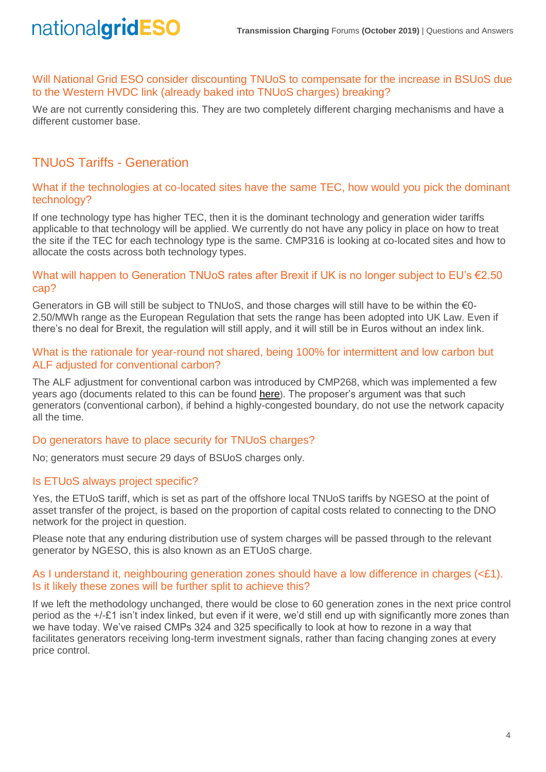Will National Grid ESO consider discounting TNUoS to compensate for the increase in BSUoS due to the Western HVDC link (already baked into TNUoS charges) breaking?

We are not currently considering this. They are two completely different charging mechanisms and have a different customer base.

# TNUoS Tariffs - Generation

## What if the technologies at co-located sites have the same TEC, how would you pick the dominant technology?

If one technology type has higher TEC, then it is the dominant technology and generation wider tariffs applicable to that technology will be applied. We currently do not have any policy in place on how to treat the site if the TEC for each technology type is the same. CMP316 is looking at co-located sites and how to allocate the costs across both technology types.

## What will happen to Generation TNUoS rates after Brexit if UK is no longer subject to EU's €2.50 cap?

Generators in GB will still be subject to TNUoS, and those charges will still have to be within the  $\epsilon$ 0-2.50/MWh range as the European Regulation that sets the range has been adopted into UK Law. Even if there's no deal for Brexit, the regulation will still apply, and it will still be in Euros without an index link.

## What is the rationale for year-round not shared, being 100% for intermittent and low carbon but ALF adjusted for conventional carbon?

The ALF adjustment for conventional carbon was introduced by CMP268, which was implemented a few years ago (documents related to this can be found [here](https://www.nationalgrideso.com/codes/connection-and-use-system-code-cusc/modifications/cmp268-recognition-sharing-conventionalhttps:/www.nationalgrideso.com/codes/connection-and-use-system-code-cusc/modifications/cmp268-recognition-sharing-conventional)). The proposer's argument was that such generators (conventional carbon), if behind a highly-congested boundary, do not use the network capacity all the time.

# Do generators have to place security for TNUoS charges?

No; generators must secure 29 days of BSUoS charges only.

# Is ETUoS always project specific?

Yes, the ETUoS tariff, which is set as part of the offshore local TNUoS tariffs by NGESO at the point of asset transfer of the project, is based on the proportion of capital costs related to connecting to the DNO network for the project in question.

Please note that any enduring distribution use of system charges will be passed through to the relevant generator by NGESO, this is also known as an ETUoS charge.

#### As I understand it, neighbouring generation zones should have a low difference in charges (<£1). Is it likely these zones will be further split to achieve this?

If we left the methodology unchanged, there would be close to 60 generation zones in the next price control period as the +/-£1 isn't index linked, but even if it were, we'd still end up with significantly more zones than we have today. We've raised CMPs 324 and 325 specifically to look at how to rezone in a way that facilitates generators receiving long-term investment signals, rather than facing changing zones at every price control.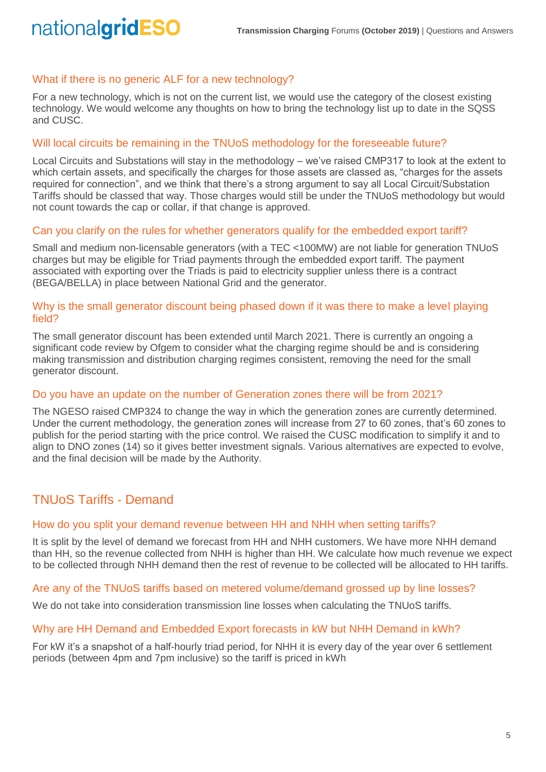# What if there is no generic ALF for a new technology?

nationalgridESO

For a new technology, which is not on the current list, we would use the category of the closest existing technology. We would welcome any thoughts on how to bring the technology list up to date in the SQSS and CUSC.

#### Will local circuits be remaining in the TNUoS methodology for the foreseeable future?

Local Circuits and Substations will stay in the methodology – we've raised CMP317 to look at the extent to which certain assets, and specifically the charges for those assets are classed as, "charges for the assets required for connection", and we think that there's a strong argument to say all Local Circuit/Substation Tariffs should be classed that way. Those charges would still be under the TNUoS methodology but would not count towards the cap or collar, if that change is approved.

#### Can you clarify on the rules for whether generators qualify for the embedded export tariff?

Small and medium non-licensable generators (with a TEC <100MW) are not liable for generation TNUoS charges but may be eligible for Triad payments through the embedded export tariff. The payment associated with exporting over the Triads is paid to electricity supplier unless there is a contract (BEGA/BELLA) in place between National Grid and the generator.

#### Why is the small generator discount being phased down if it was there to make a level playing field?

The small generator discount has been extended until March 2021. There is currently an ongoing a significant code review by Ofgem to consider what the charging regime should be and is considering making transmission and distribution charging regimes consistent, removing the need for the small generator discount.

#### Do you have an update on the number of Generation zones there will be from 2021?

The NGESO raised CMP324 to change the way in which the generation zones are currently determined. Under the current methodology, the generation zones will increase from 27 to 60 zones, that's 60 zones to publish for the period starting with the price control. We raised the CUSC modification to simplify it and to align to DNO zones (14) so it gives better investment signals. Various alternatives are expected to evolve, and the final decision will be made by the Authority.

# TNUoS Tariffs - Demand

#### How do you split your demand revenue between HH and NHH when setting tariffs?

It is split by the level of demand we forecast from HH and NHH customers. We have more NHH demand than HH, so the revenue collected from NHH is higher than HH. We calculate how much revenue we expect to be collected through NHH demand then the rest of revenue to be collected will be allocated to HH tariffs.

#### Are any of the TNUoS tariffs based on metered volume/demand grossed up by line losses?

We do not take into consideration transmission line losses when calculating the TNUoS tariffs.

#### Why are HH Demand and Embedded Export forecasts in kW but NHH Demand in kWh?

For kW it's a snapshot of a half-hourly triad period, for NHH it is every day of the year over 6 settlement periods (between 4pm and 7pm inclusive) so the tariff is priced in kWh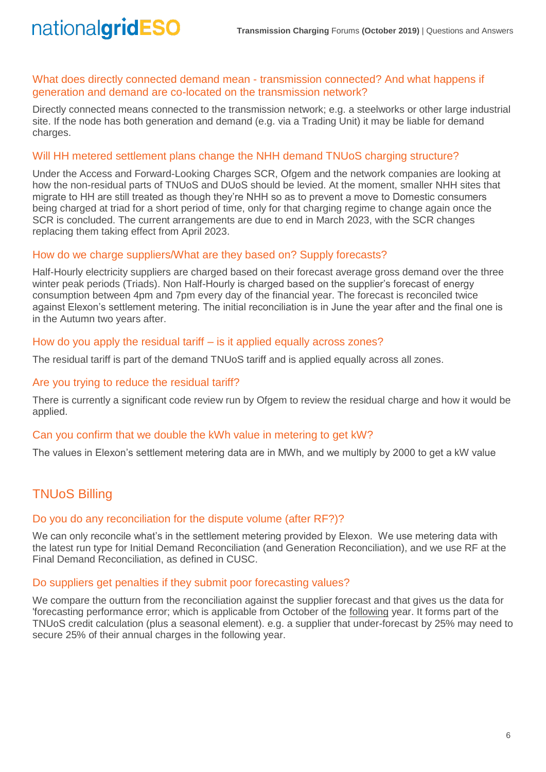#### What does directly connected demand mean - transmission connected? And what happens if generation and demand are co-located on the transmission network?

Directly connected means connected to the transmission network; e.g. a steelworks or other large industrial site. If the node has both generation and demand (e.g. via a Trading Unit) it may be liable for demand charges.

## Will HH metered settlement plans change the NHH demand TNUoS charging structure?

Under the Access and Forward-Looking Charges SCR, Ofgem and the network companies are looking at how the non-residual parts of TNUoS and DUoS should be levied. At the moment, smaller NHH sites that migrate to HH are still treated as though they're NHH so as to prevent a move to Domestic consumers being charged at triad for a short period of time, only for that charging regime to change again once the SCR is concluded. The current arrangements are due to end in March 2023, with the SCR changes replacing them taking effect from April 2023.

#### How do we charge suppliers/What are they based on? Supply forecasts?

Half-Hourly electricity suppliers are charged based on their forecast average gross demand over the three winter peak periods (Triads). Non Half-Hourly is charged based on the supplier's forecast of energy consumption between 4pm and 7pm every day of the financial year. The forecast is reconciled twice against Elexon's settlement metering. The initial reconciliation is in June the year after and the final one is in the Autumn two years after.

#### How do you apply the residual tariff – is it applied equally across zones?

The residual tariff is part of the demand TNUoS tariff and is applied equally across all zones.

#### Are you trying to reduce the residual tariff?

There is currently a significant code review run by Ofgem to review the residual charge and how it would be applied.

#### Can you confirm that we double the kWh value in metering to get kW?

The values in Elexon's settlement metering data are in MWh, and we multiply by 2000 to get a kW value

# TNUoS Billing

#### Do you do any reconciliation for the dispute volume (after RF?)?

We can only reconcile what's in the settlement metering provided by Elexon. We use metering data with the latest run type for Initial Demand Reconciliation (and Generation Reconciliation), and we use RF at the Final Demand Reconciliation, as defined in CUSC.

#### Do suppliers get penalties if they submit poor forecasting values?

We compare the outturn from the reconciliation against the supplier forecast and that gives us the data for 'forecasting performance error; which is applicable from October of the following year. It forms part of the TNUoS credit calculation (plus a seasonal element). e.g. a supplier that under-forecast by 25% may need to secure 25% of their annual charges in the following year.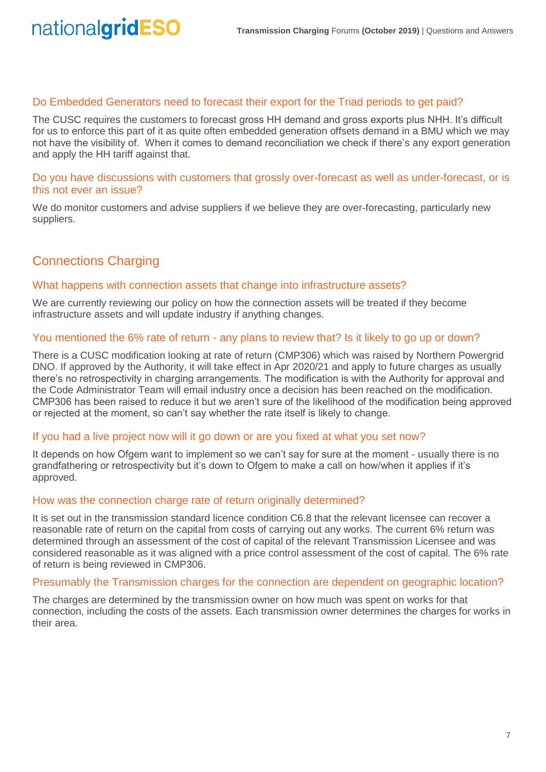#### Do Embedded Generators need to forecast their export for the Triad periods to get paid?

The CUSC requires the customers to forecast gross HH demand and gross exports plus NHH. It's difficult for us to enforce this part of it as quite often embedded generation offsets demand in a BMU which we may not have the visibility of. When it comes to demand reconciliation we check if there's any export generation and apply the HH tariff against that.

Do you have discussions with customers that grossly over-forecast as well as under-forecast, or is this not ever an issue?

We do monitor customers and advise suppliers if we believe they are over-forecasting, particularly new suppliers.

# Connections Charging

#### What happens with connection assets that change into infrastructure assets?

We are currently reviewing our policy on how the connection assets will be treated if they become infrastructure assets and will update industry if anything changes.

#### You mentioned the 6% rate of return - any plans to review that? Is it likely to go up or down?

There is a CUSC modification looking at rate of return (CMP306) which was raised by Northern Powergrid DNO. If approved by the Authority, it will take effect in Apr 2020/21 and apply to future charges as usually there's no retrospectivity in charging arrangements. The modification is with the Authority for approval and the Code Administrator Team will email industry once a decision has been reached on the modification. CMP306 has been raised to reduce it but we aren't sure of the likelihood of the modification being approved or rejected at the moment, so can't say whether the rate itself is likely to change.

#### If you had a live project now will it go down or are you fixed at what you set now?

It depends on how Ofgem want to implement so we can't say for sure at the moment - usually there is no grandfathering or retrospectivity but it's down to Ofgem to make a call on how/when it applies if it's approved.

#### How was the connection charge rate of return originally determined?

It is set out in the transmission standard licence condition C6.8 that the relevant licensee can recover a reasonable rate of return on the capital from costs of carrying out any works. The current 6% return was determined through an assessment of the cost of capital of the relevant Transmission Licensee and was considered reasonable as it was aligned with a price control assessment of the cost of capital. The 6% rate of return is being reviewed in CMP306.

#### Presumably the Transmission charges for the connection are dependent on geographic location?

The charges are determined by the transmission owner on how much was spent on works for that connection, including the costs of the assets. Each transmission owner determines the charges for works in their area.